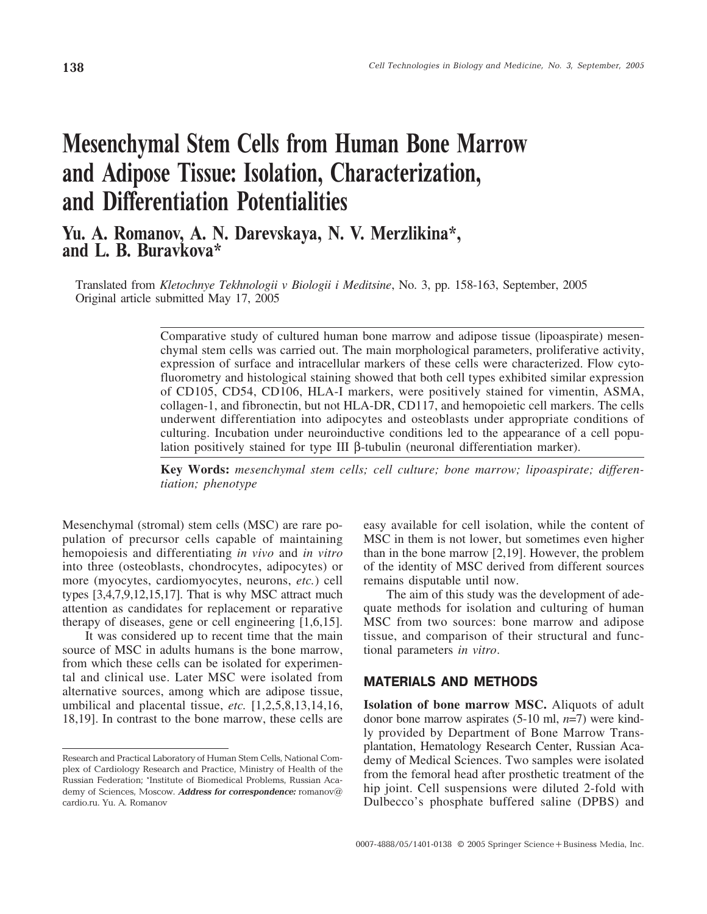# Mesenchymal Stem Cells from Human Bone Marrow and Adipose Tissue: Isolation, Characterization, and Differentiation Potentialities

## Yu. A. Romanov, A. N. Darevskaya, N. V. Merzlikina\*, and L. B. Buravkova\*

Translated from *Kletochnye Tekhnologii v Biologii i Meditsine*, No. 3, pp. 158-163, September, 2005 Original article submitted May 17, 2005

> Comparative study of cultured human bone marrow and adipose tissue (lipoaspirate) mesenchymal stem cells was carried out. The main morphological parameters, proliferative activity, expression of surface and intracellular markers of these cells were characterized. Flow cytofluorometry and histological staining showed that both cell types exhibited similar expression of CD105, CD54, CD106, HLA-I markers, were positively stained for vimentin, ASMA, collagen-1, and fibronectin, but not HLA-DR, CD117, and hemopoietic cell markers. The cells underwent differentiation into adipocytes and osteoblasts under appropriate conditions of culturing. Incubation under neuroinductive conditions led to the appearance of a cell population positively stained for type III β-tubulin (neuronal differentiation marker).

> **Key Words:** *mesenchymal stem cells; cell culture; bone marrow; lipoaspirate; differentiation; phenotype*

Mesenchymal (stromal) stem cells (MSC) are rare population of precursor cells capable of maintaining hemopoiesis and differentiating *in vivo* and *in vitro* into three (osteoblasts, chondrocytes, adipocytes) or more (myocytes, cardiomyocytes, neurons, *etc.*) cell types [3,4,7,9,12,15,17]. That is why MSC attract much attention as candidates for replacement or reparative therapy of diseases, gene or cell engineering [1,6,15].

It was considered up to recent time that the main source of MSC in adults humans is the bone marrow, from which these cells can be isolated for experimental and clinical use. Later MSC were isolated from alternative sources, among which are adipose tissue, umbilical and placental tissue, *etc.* [1,2,5,8,13,14,16, 18,19]. In contrast to the bone marrow, these cells are

easy available for cell isolation, while the content of MSC in them is not lower, but sometimes even higher than in the bone marrow [2,19]. However, the problem of the identity of MSC derived from different sources remains disputable until now.

The aim of this study was the development of adequate methods for isolation and culturing of human MSC from two sources: bone marrow and adipose tissue, and comparison of their structural and functional parameters *in vitro*.

### **MATERIALS AND METHODS**

**Isolation of bone marrow MSC.** Aliquots of adult donor bone marrow aspirates (5-10 ml, *n*=7) were kindly provided by Department of Bone Marrow Transplantation, Hematology Research Center, Russian Academy of Medical Sciences. Two samples were isolated from the femoral head after prosthetic treatment of the hip joint. Cell suspensions were diluted 2-fold with Dulbecco's phosphate buffered saline (DPBS) and

Research and Practical Laboratory of Human Stem Cells, National Com plex of Cardiology Research and Practice, Ministry of Health of the Russian Federation; \*Institute of Biomedical Problems, Russian Aca demy of Sciences, Moscow. **Address for correspondence:** romanov@ cardio.ru. Yu. A. Romanov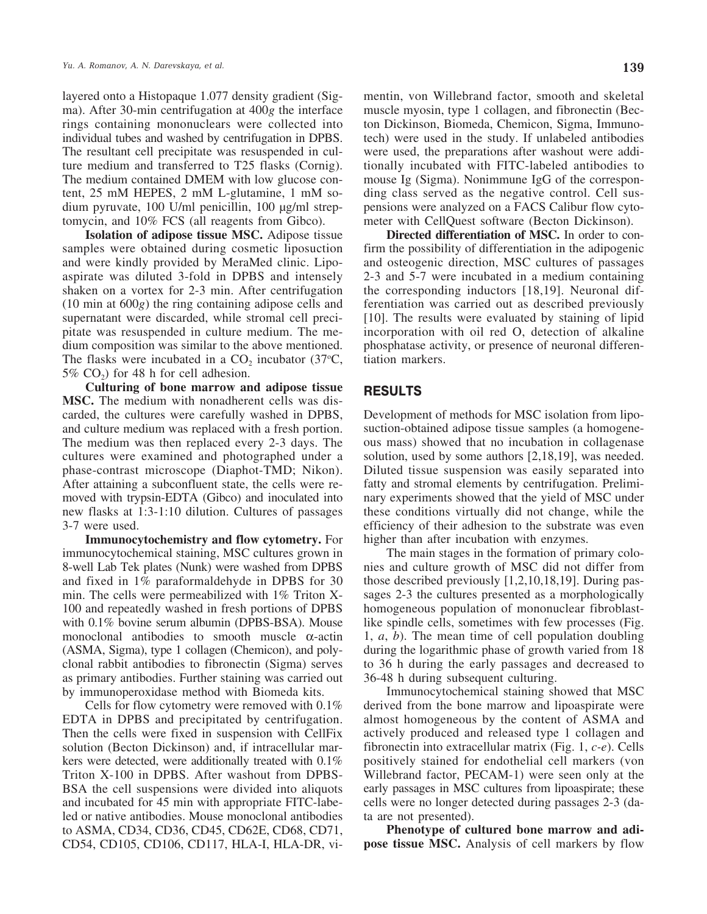layered onto a Histopaque 1.077 density gradient (Sigma). After 30-min centrifugation at 400*g* the interface rings containing mononuclears were collected into individual tubes and washed by centrifugation in DPBS. The resultant cell precipitate was resuspended in culture medium and transferred to T25 flasks (Cornig). The medium contained DMEM with low glucose content, 25 mM HEPES, 2 mM L-glutamine, 1 mM sodium pyruvate, 100 U/ml penicillin, 100 µg/ml streptomycin, and 10% FCS (all reagents from Gibco).

**Isolation of adipose tissue MSC.** Adipose tissue samples were obtained during cosmetic liposuction and were kindly provided by MeraMed clinic. Lipoaspirate was diluted 3-fold in DPBS and intensely shaken on a vortex for 2-3 min. After centrifugation (10 min at 600*g*) the ring containing adipose cells and supernatant were discarded, while stromal cell precipitate was resuspended in culture medium. The medium composition was similar to the above mentioned. The flasks were incubated in a  $CO_2$  incubator (37 $\degree$ C, 5%  $CO<sub>2</sub>$ ) for 48 h for cell adhesion.

**Culturing of bone marrow and adipose tissue MSC.** The medium with nonadherent cells was discarded, the cultures were carefully washed in DPBS, and culture medium was replaced with a fresh portion. The medium was then replaced every 2-3 days. The cultures were examined and photographed under a phase-contrast microscope (Diaphot-TMD; Nikon). After attaining a subconfluent state, the cells were removed with trypsin-EDTA (Gibco) and inoculated into new flasks at 1:3-1:10 dilution. Cultures of passages 3-7 were used.

**Immunocytochemistry and flow cytometry.** For immunocytochemical staining, MSC cultures grown in 8-well Lab Tek plates (Nunk) were washed from DPBS and fixed in 1% paraformaldehyde in DPBS for 30 min. The cells were permeabilized with 1% Triton X-100 and repeatedly washed in fresh portions of DPBS with 0.1% bovine serum albumin (DPBS-BSA). Mouse monoclonal antibodies to smooth muscle α-actin (ASMA, Sigma), type 1 collagen (Chemicon), and polyclonal rabbit antibodies to fibronectin (Sigma) serves as primary antibodies. Further staining was carried out by immunoperoxidase method with Biomeda kits.

Cells for flow cytometry were removed with 0.1% EDTA in DPBS and precipitated by centrifugation. Then the cells were fixed in suspension with CellFix solution (Becton Dickinson) and, if intracellular markers were detected, were additionally treated with 0.1% Triton X-100 in DPBS. After washout from DPBS-BSA the cell suspensions were divided into aliquots and incubated for 45 min with appropriate FITC-labeled or native antibodies. Mouse monoclonal antibodies to ASMA, CD34, CD36, CD45, CD62E, CD68, CD71, CD54, CD105, CD106, CD117, HLA-I, HLA-DR, vimentin, von Willebrand factor, smooth and skeletal muscle myosin, type 1 collagen, and fibronectin (Becton Dickinson, Biomeda, Chemicon, Sigma, Immunotech) were used in the study. If unlabeled antibodies were used, the preparations after washout were additionally incubated with FITC-labeled antibodies to mouse Ig (Sigma). Nonimmune IgG of the corresponding class served as the negative control. Cell suspensions were analyzed on a FACS Calibur flow cytometer with CellQuest software (Becton Dickinson).

**Directed differentiation of MSC.** In order to confirm the possibility of differentiation in the adipogenic and osteogenic direction, MSC cultures of passages 2-3 and 5-7 were incubated in a medium containing the corresponding inductors [18,19]. Neuronal differentiation was carried out as described previously [10]. The results were evaluated by staining of lipid incorporation with oil red O, detection of alkaline phosphatase activity, or presence of neuronal differentiation markers.

### **RESULTS**

Development of methods for MSC isolation from liposuction-obtained adipose tissue samples (a homogeneous mass) showed that no incubation in collagenase solution, used by some authors [2,18,19], was needed. Diluted tissue suspension was easily separated into fatty and stromal elements by centrifugation. Preliminary experiments showed that the yield of MSC under these conditions virtually did not change, while the efficiency of their adhesion to the substrate was even higher than after incubation with enzymes.

The main stages in the formation of primary colonies and culture growth of MSC did not differ from those described previously [1,2,10,18,19]. During passages 2-3 the cultures presented as a morphologically homogeneous population of mononuclear fibroblastlike spindle cells, sometimes with few processes (Fig. 1, *a*, *b*). The mean time of cell population doubling during the logarithmic phase of growth varied from 18 to 36 h during the early passages and decreased to 36-48 h during subsequent culturing.

Immunocytochemical staining showed that MSC derived from the bone marrow and lipoaspirate were almost homogeneous by the content of ASMA and actively produced and released type 1 collagen and fibronectin into extracellular matrix (Fig. 1, *c-e*). Cells positively stained for endothelial cell markers (von Willebrand factor, PECAM-1) were seen only at the early passages in MSC cultures from lipoaspirate; these cells were no longer detected during passages 2-3 (data are not presented).

**Phenotype of cultured bone marrow and adipose tissue MSC.** Analysis of cell markers by flow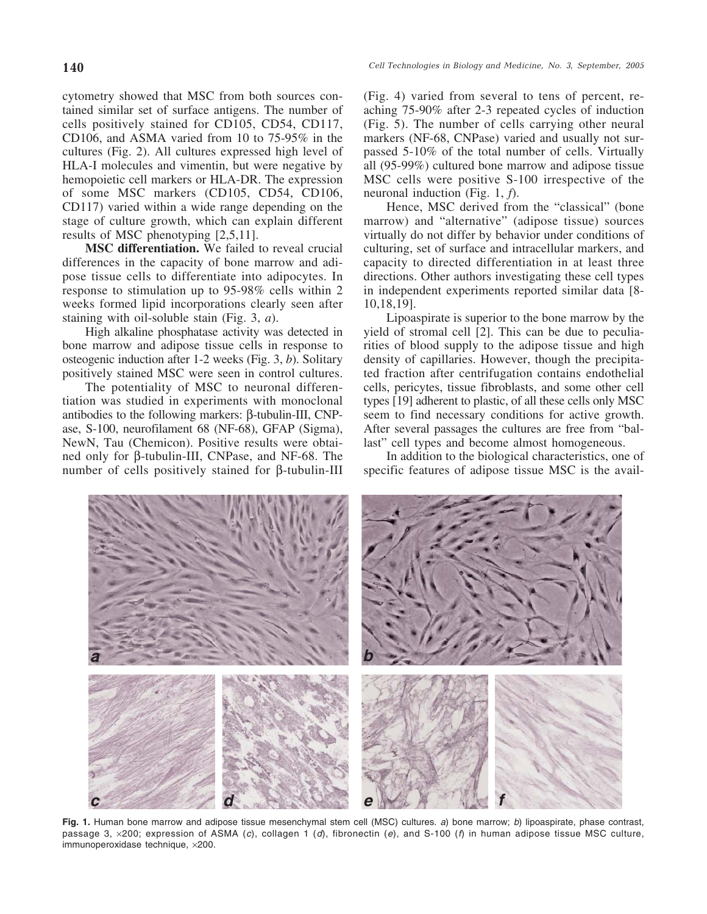cytometry showed that MSC from both sources contained similar set of surface antigens. The number of cells positively stained for CD105, CD54, CD117, CD106, and ASMA varied from 10 to 75-95% in the cultures (Fig. 2). All cultures expressed high level of HLA-I molecules and vimentin, but were negative by hemopoietic cell markers or HLA-DR. The expression of some MSC markers (CD105, CD54, CD106, CD117) varied within a wide range depending on the stage of culture growth, which can explain different results of MSC phenotyping [2,5,11].

**MSC differentiation.** We failed to reveal crucial differences in the capacity of bone marrow and adipose tissue cells to differentiate into adipocytes. In response to stimulation up to 95-98% cells within 2 weeks formed lipid incorporations clearly seen after staining with oil-soluble stain (Fig. 3, *a*).

High alkaline phosphatase activity was detected in bone marrow and adipose tissue cells in response to osteogenic induction after 1-2 weeks (Fig. 3, *b*). Solitary positively stained MSC were seen in control cultures.

The potentiality of MSC to neuronal differentiation was studied in experiments with monoclonal antibodies to the following markers: β-tubulin-III, CNPase, S-100, neurofilament 68 (NF-68), GFAP (Sigma), NewN, Tau (Chemicon). Positive results were obtained only for β-tubulin-III, CNPase, and NF-68. The number of cells positively stained for β-tubulin-III (Fig. 4) varied from several to tens of percent, reaching 75-90% after 2-3 repeated cycles of induction (Fig. 5). The number of cells carrying other neural markers (NF-68, CNPase) varied and usually not surpassed 5-10% of the total number of cells. Virtually all (95-99%) cultured bone marrow and adipose tissue MSC cells were positive S-100 irrespective of the neuronal induction (Fig. 1, *f*).

Hence, MSC derived from the "classical" (bone marrow) and "alternative" (adipose tissue) sources virtually do not differ by behavior under conditions of culturing, set of surface and intracellular markers, and capacity to directed differentiation in at least three directions. Other authors investigating these cell types in independent experiments reported similar data [8- 10,18,19].

Lipoaspirate is superior to the bone marrow by the yield of stromal cell [2]. This can be due to peculiarities of blood supply to the adipose tissue and high density of capillaries. However, though the precipitated fraction after centrifugation contains endothelial cells, pericytes, tissue fibroblasts, and some other cell types [19] adherent to plastic, of all these cells only MSC seem to find necessary conditions for active growth. After several passages the cultures are free from "ballast" cell types and become almost homogeneous.

In addition to the biological characteristics, one of specific features of adipose tissue MSC is the avail-



**Fig. 1.** Human bone marrow and adipose tissue mesenchymal stem cell (MSC) cultures. a) bone marrow; b) lipoaspirate, phase contrast, passage 3,  $\times$ 200; expression of ASMA (c), collagen 1 (d), fibronectin (e), and S-100 (f) in human adipose tissue MSC culture, immunoperoxidase technique, ×200.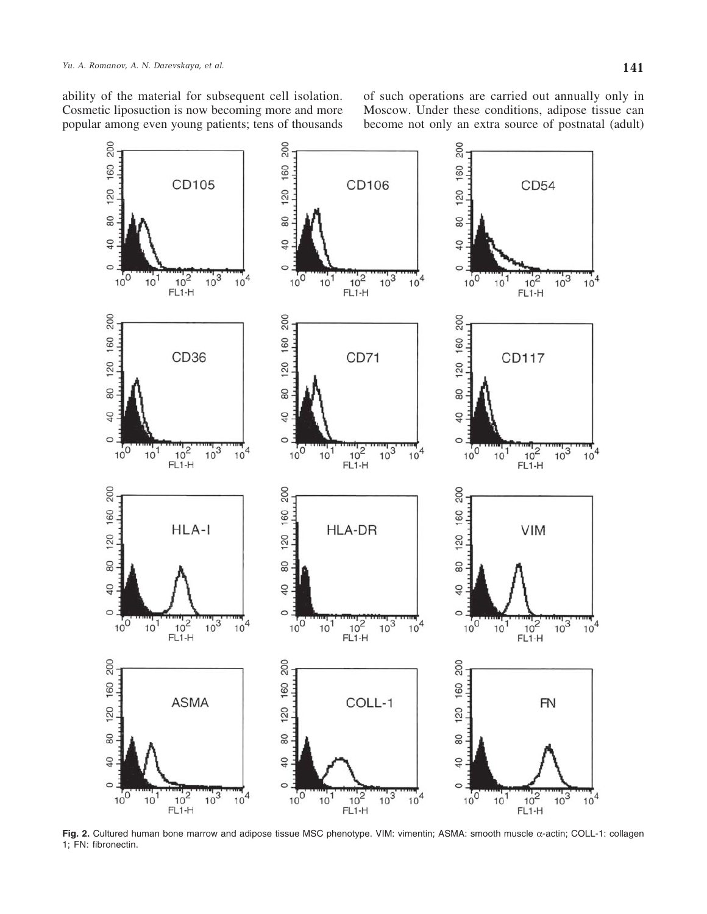ability of the material for subsequent cell isolation. Cosmetic liposuction is now becoming more and more popular among even young patients; tens of thousands

of such operations are carried out annually only in Moscow. Under these conditions, adipose tissue can become not only an extra source of postnatal (adult)



**Fig. 2.** Cultured human bone marrow and adipose tissue MSC phenotype. VIM: vimentin; ASMA: smooth muscle α-actin; COLL-1: collagen 1; FN: fibronectin.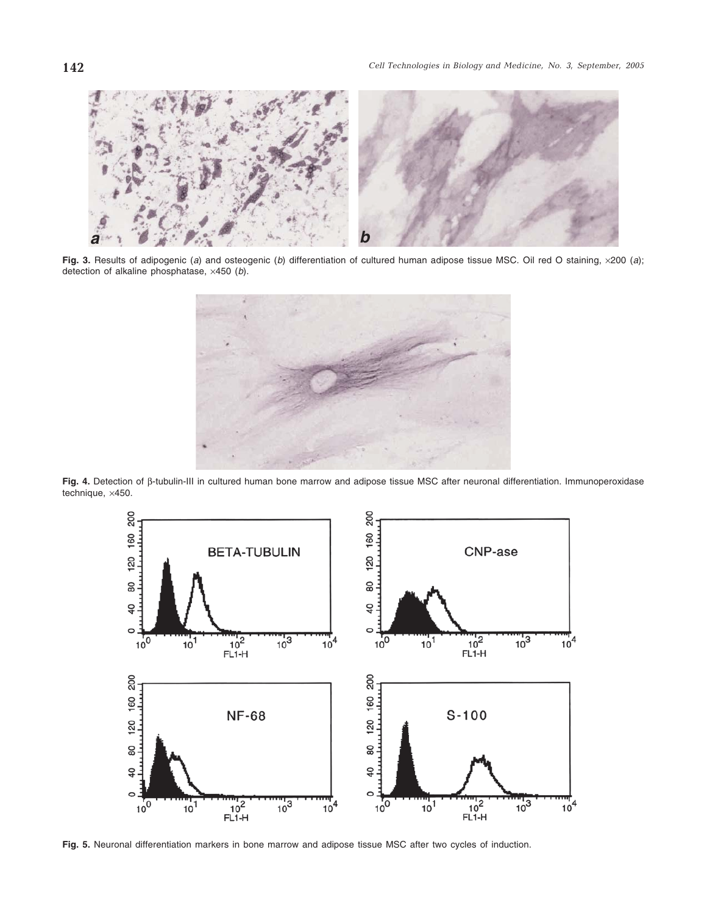

Fig. 3. Results of adipogenic (a) and osteogenic (b) differentiation of cultured human adipose tissue MSC. Oil red O staining, x200 (a); detection of alkaline phosphatase, ×450 (b).



**Fig. 4.** Detection of β-tubulin-III in cultured human bone marrow and adipose tissue MSC after neuronal differentiation. Immunoperoxidase technique, ×450.



**Fig. 5.** Neuronal differentiation markers in bone marrow and adipose tissue MSC after two cycles of induction.